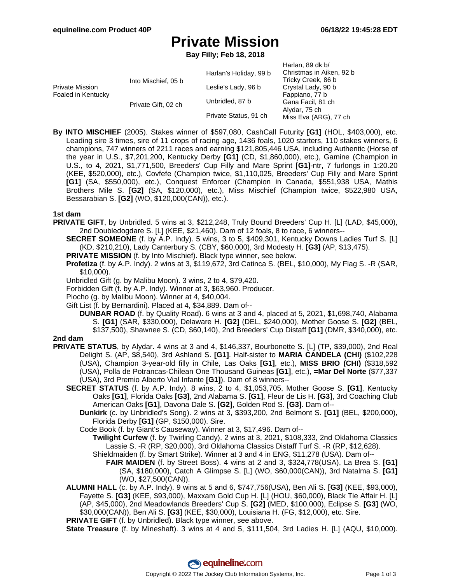# **Private Mission**

**Bay Filly; Feb 18, 2018**

|                                       |                     |                        | Harlan, 89 dk b/         |
|---------------------------------------|---------------------|------------------------|--------------------------|
| Private Mission<br>Foaled in Kentucky | Into Mischief, 05 b | Harlan's Holiday, 99 b | Christmas in Aiken, 92 b |
|                                       |                     |                        | Tricky Creek, 86 b       |
|                                       |                     | Leslie's Lady, 96 b    | Crystal Lady, 90 b       |
|                                       |                     |                        | Fappiano, 77 b           |
|                                       | Private Gift, 02 ch | Unbridled, 87 b        | Gana Facil, 81 ch        |
|                                       |                     |                        | Alydar, 75 ch            |
|                                       |                     | Private Status, 91 ch  | Miss Eva (ARG), 77 ch    |

**By INTO MISCHIEF** (2005). Stakes winner of \$597,080, CashCall Futurity **[G1]** (HOL, \$403,000), etc. Leading sire 3 times, sire of 11 crops of racing age, 1436 foals, 1020 starters, 110 stakes winners, 6 champions, 747 winners of 2211 races and earning \$121,805,446 USA, including Authentic (Horse of the year in U.S., \$7,201,200, Kentucky Derby **[G1]** (CD, \$1,860,000), etc.), Gamine (Champion in U.S., to 4, 2021, \$1,771,500, Breeders' Cup Filly and Mare Sprint **[G1]**-ntr, 7 furlongs in 1:20.20 (KEE, \$520,000), etc.), Covfefe (Champion twice, \$1,110,025, Breeders' Cup Filly and Mare Sprint **[G1]** (SA, \$550,000), etc.), Conquest Enforcer (Champion in Canada, \$551,938 USA, Mathis Brothers Mile S. **[G2]** (SA, \$120,000), etc.), Miss Mischief (Champion twice, \$522,980 USA, Bessarabian S. **[G2]** (WO, \$120,000(CAN)), etc.).

### **1st dam**

**PRIVATE GIFT**, by Unbridled. 5 wins at 3, \$212,248, Truly Bound Breeders' Cup H. [L] (LAD, \$45,000), 2nd Doubledogdare S. [L] (KEE, \$21,460). Dam of 12 foals, 8 to race, 6 winners--

**SECRET SOMEONE** (f. by A.P. Indy). 5 wins, 3 to 5, \$409,301, Kentucky Downs Ladies Turf S. [L] (KD, \$210,210), Lady Canterbury S. (CBY, \$60,000), 3rd Modesty H. **[G3]** (AP, \$13,475).

**PRIVATE MISSION** (f. by Into Mischief). Black type winner, see below.

**Profetiza** (f. by A.P. Indy). 2 wins at 3, \$119,672, 3rd Catinca S. (BEL, \$10,000), My Flag S. -R (SAR, \$10,000).

Unbridled Gift (g. by Malibu Moon). 3 wins, 2 to 4, \$79,420.

Forbidden Gift (f. by A.P. Indy). Winner at 3, \$63,960. Producer.

Piocho (g. by Malibu Moon). Winner at 4, \$40,004.

Gift List (f. by Bernardini). Placed at 4, \$34,889. Dam of--

**DUNBAR ROAD** (f. by Quality Road). 6 wins at 3 and 4, placed at 5, 2021, \$1,698,740, Alabama S. **[G1]** (SAR, \$330,000), Delaware H. **[G2]** (DEL, \$240,000), Mother Goose S. **[G2]** (BEL, \$137,500), Shawnee S. (CD, \$60,140), 2nd Breeders' Cup Distaff **[G1]** (DMR, \$340,000), etc.

### **2nd dam**

- **PRIVATE STATUS**, by Alydar. 4 wins at 3 and 4, \$146,337, Bourbonette S. [L] (TP, \$39,000), 2nd Real Delight S. (AP, \$8,540), 3rd Ashland S. **[G1]**. Half-sister to **MARIA CANDELA (CHI)** (\$102,228 (USA), Champion 3-year-old filly in Chile, Las Oaks **[G1]**, etc.), **MISS BRIO (CHI)** (\$318,592 (USA), Polla de Potrancas-Chilean One Thousand Guineas **[G1]**, etc.), **=Mar Del Norte** (\$77,337 (USA), 3rd Premio Alberto Vial Infante **[G1]**). Dam of 8 winners--
	- **SECRET STATUS** (f. by A.P. Indy). 8 wins, 2 to 4, \$1,053,705, Mother Goose S. **[G1]**, Kentucky Oaks **[G1]**, Florida Oaks **[G3]**, 2nd Alabama S. **[G1]**, Fleur de Lis H. **[G3]**, 3rd Coaching Club American Oaks **[G1]**, Davona Dale S. **[G2]**, Golden Rod S. **[G3]**. Dam of--
		- **Dunkirk** (c. by Unbridled's Song). 2 wins at 3, \$393,200, 2nd Belmont S. **[G1]** (BEL, \$200,000), Florida Derby **[G1]** (GP, \$150,000). Sire.
		- Code Book (f. by Giant's Causeway). Winner at 3, \$17,496. Dam of--
			- **Twilight Curfew** (f. by Twirling Candy). 2 wins at 3, 2021, \$108,333, 2nd Oklahoma Classics Lassie S. -R (RP, \$20,000), 3rd Oklahoma Classics Distaff Turf S. -R (RP, \$12,628). Shieldmaiden (f. by Smart Strike). Winner at 3 and 4 in ENG, \$11,278 (USA). Dam of--
				- **FAIR MAIDEN** (f. by Street Boss). 4 wins at 2 and 3, \$324,778(USA), La Brea S. **[G1]** (SA, \$180,000), Catch A Glimpse S. [L] (WO, \$60,000(CAN)), 3rd Natalma S. **[G1]** (WO, \$27,500(CAN)).
	- **ALUMNI HALL** (c. by A.P. Indy). 9 wins at 5 and 6, \$747,756(USA), Ben Ali S. **[G3]** (KEE, \$93,000), Fayette S. **[G3]** (KEE, \$93,000), Maxxam Gold Cup H. [L] (HOU, \$60,000), Black Tie Affair H. [L] (AP, \$45,000), 2nd Meadowlands Breeders' Cup S. **[G2]** (MED, \$100,000), Eclipse S. **[G3]** (WO, \$30,000(CAN)), Ben Ali S. **[G3]** (KEE, \$30,000), Louisiana H. (FG, \$12,000), etc. Sire.

**PRIVATE GIFT** (f. by Unbridled). Black type winner, see above.

**State Treasure** (f. by Mineshaft). 3 wins at 4 and 5, \$111,504, 3rd Ladies H. [L] (AQU, \$10,000).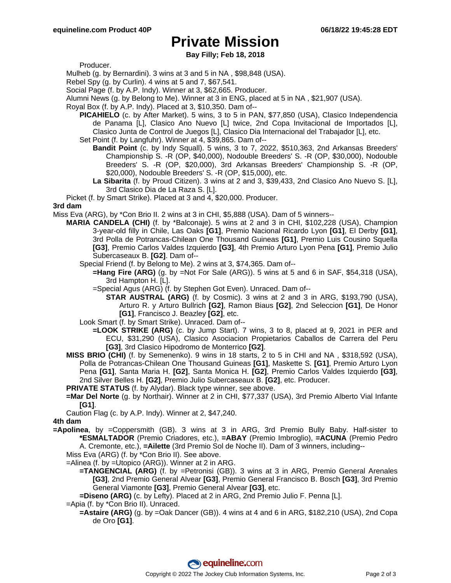## **Private Mission**

**Bay Filly; Feb 18, 2018**

Producer.

Mulheb (g. by Bernardini). 3 wins at 3 and 5 in NA , \$98,848 (USA).

Rebel Spy (g. by Curlin). 4 wins at 5 and 7, \$67,541.

Social Page (f. by A.P. Indy). Winner at 3, \$62,665. Producer.

Alumni News (g. by Belong to Me). Winner at 3 in ENG, placed at 5 in NA , \$21,907 (USA).

Royal Box (f. by A.P. Indy). Placed at 3, \$10,350. Dam of--

- **PICAHIELO** (c. by After Market). 5 wins, 3 to 5 in PAN, \$77,850 (USA), Clasico Independencia de Panama [L], Clasico Ano Nuevo [L] twice, 2nd Copa Invitacional de Importados [L], Clasico Junta de Control de Juegos [L], Clasico Dia Internacional del Trabajador [L], etc.
- Set Point (f. by Langfuhr). Winner at 4, \$39,865. Dam of--
	- **Bandit Point** (c. by Indy Squall). 5 wins, 3 to 7, 2022, \$510,363, 2nd Arkansas Breeders' Championship S. -R (OP, \$40,000), Nodouble Breeders' S. -R (OP, \$30,000), Nodouble Breeders' S. -R (OP, \$20,000), 3rd Arkansas Breeders' Championship S. -R (OP, \$20,000), Nodouble Breeders' S. -R (OP, \$15,000), etc.
	- **La Sibarita** (f. by Proud Citizen). 3 wins at 2 and 3, \$39,433, 2nd Clasico Ano Nuevo S. [L], 3rd Clasico Dia de La Raza S. [L].

Picket (f. by Smart Strike). Placed at 3 and 4, \$20,000. Producer.

#### **3rd dam**

Miss Eva (ARG), by \*Con Brio II. 2 wins at 3 in CHI, \$5,888 (USA). Dam of 5 winners--

**MARIA CANDELA (CHI)** (f. by \*Balconaje). 5 wins at 2 and 3 in CHI, \$102,228 (USA), Champion 3-year-old filly in Chile, Las Oaks **[G1]**, Premio Nacional Ricardo Lyon **[G1]**, El Derby **[G1]**, 3rd Polla de Potrancas-Chilean One Thousand Guineas **[G1]**, Premio Luis Cousino Squella **[G3]**, Premio Carlos Valdes Izquierdo **[G3]**, 4th Premio Arturo Lyon Pena **[G1]**, Premio Julio Subercaseaux B. **[G2]**. Dam of--

Special Friend (f. by Belong to Me). 2 wins at 3, \$74,365. Dam of--

**=Hang Fire (ARG)** (g. by =Not For Sale (ARG)). 5 wins at 5 and 6 in SAF, \$54,318 (USA), 3rd Hampton H. [L].

=Special Agus (ARG) (f. by Stephen Got Even). Unraced. Dam of--

**STAR AUSTRAL (ARG)** (f. by Cosmic). 3 wins at 2 and 3 in ARG, \$193,790 (USA), Arturo R. y Arturo Bullrich **[G2]**, Ramon Biaus **[G2]**, 2nd Seleccion **[G1]**, De Honor **[G1]**, Francisco J. Beazley **[G2]**, etc.

Look Smart (f. by Smart Strike). Unraced. Dam of--

- **=LOOK STRIKE (ARG)** (c. by Jump Start). 7 wins, 3 to 8, placed at 9, 2021 in PER and ECU, \$31,290 (USA), Clasico Asociacion Propietarios Caballos de Carrera del Peru **[G3]**, 3rd Clasico Hipodromo de Monterrico **[G2]**.
- **MISS BRIO (CHI)** (f. by Semenenko). 9 wins in 18 starts, 2 to 5 in CHI and NA , \$318,592 (USA), Polla de Potrancas-Chilean One Thousand Guineas **[G1]**, Maskette S. **[G1]**, Premio Arturo Lyon Pena **[G1]**, Santa Maria H. **[G2]**, Santa Monica H. **[G2]**, Premio Carlos Valdes Izquierdo **[G3]**, 2nd Silver Belles H. **[G2]**, Premio Julio Subercaseaux B. **[G2]**, etc. Producer.

**PRIVATE STATUS** (f. by Alydar). Black type winner, see above.

- **=Mar Del Norte** (g. by Northair). Winner at 2 in CHI, \$77,337 (USA), 3rd Premio Alberto Vial Infante **[G1]**.
- Caution Flag (c. by A.P. Indy). Winner at 2, \$47,240.

### **4th dam**

- **=Apolinea**, by =Coppersmith (GB). 3 wins at 3 in ARG, 3rd Premio Bully Baby. Half-sister to **\*ESMALTADOR** (Premio Criadores, etc.), **=ABAY** (Premio Imbroglio), **=ACUNA** (Premio Pedro A. Cremonte, etc.), **=Ailette** (3rd Premio Sol de Noche II). Dam of 3 winners, including--
	- Miss Eva (ARG) (f. by \*Con Brio II). See above.
	- =Alinea (f. by =Utopico (ARG)). Winner at 2 in ARG.
		- **=TANGENCIAL (ARG)** (f. by =Petronisi (GB)). 3 wins at 3 in ARG, Premio General Arenales **[G3]**, 2nd Premio General Alvear **[G3]**, Premio General Francisco B. Bosch **[G3]**, 3rd Premio General Viamonte **[G3]**, Premio General Alvear **[G3]**, etc.

**=Diseno (ARG)** (c. by Lefty). Placed at 2 in ARG, 2nd Premio Julio F. Penna [L].

=Apia (f. by \*Con Brio II). Unraced.

**=Astaire (ARG)** (g. by =Oak Dancer (GB)). 4 wins at 4 and 6 in ARG, \$182,210 (USA), 2nd Copa de Oro **[G1]**.